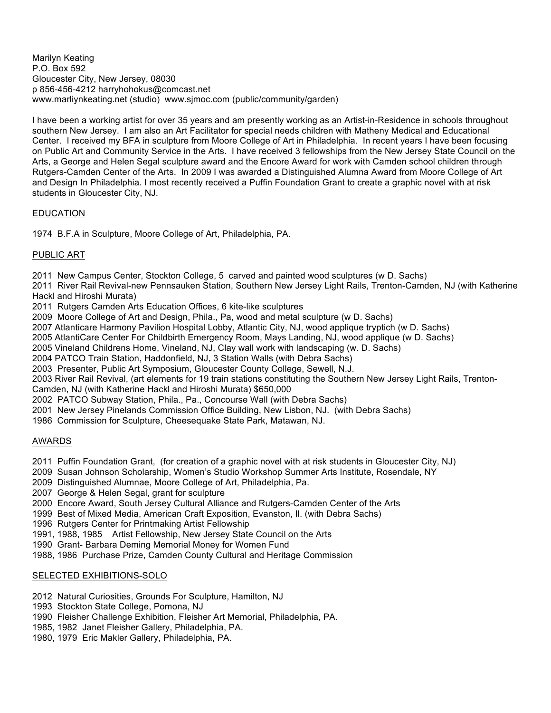Marilyn Keating P.O. Box 592 Gloucester City, New Jersey, 08030 p 856-456-4212 harryhohokus@comcast.net www.marliynkeating.net (studio) www.sjmoc.com (public/community/garden)

I have been a working artist for over 35 years and am presently working as an Artist-in-Residence in schools throughout southern New Jersey. I am also an Art Facilitator for special needs children with Matheny Medical and Educational Center. I received my BFA in sculpture from Moore College of Art in Philadelphia. In recent years I have been focusing on Public Art and Community Service in the Arts. I have received 3 fellowships from the New Jersey State Council on the Arts, a George and Helen Segal sculpture award and the Encore Award for work with Camden school children through Rutgers-Camden Center of the Arts. In 2009 I was awarded a Distinguished Alumna Award from Moore College of Art and Design In Philadelphia. I most recently received a Puffin Foundation Grant to create a graphic novel with at risk students in Gloucester City, NJ.

# EDUCATION

1974 B.F.A in Sculpture, Moore College of Art, Philadelphia, PA.

## PUBLIC ART

2011 New Campus Center, Stockton College, 5 carved and painted wood sculptures (w D. Sachs)

2011 River Rail Revival-new Pennsauken Station, Southern New Jersey Light Rails, Trenton-Camden, NJ (with Katherine Hackl and Hiroshi Murata)

2011 Rutgers Camden Arts Education Offices, 6 kite-like sculptures

- 2009 Moore College of Art and Design, Phila., Pa, wood and metal sculpture (w D. Sachs)
- 2007 Atlanticare Harmony Pavilion Hospital Lobby, Atlantic City, NJ, wood applique tryptich (w D. Sachs)
- 2005 AtlantiCare Center For Childbirth Emergency Room, Mays Landing, NJ, wood applique (w D. Sachs)
- 2005 Vineland Childrens Home, Vineland, NJ, Clay wall work with landscaping (w. D. Sachs)
- 2004 PATCO Train Station, Haddonfield, NJ, 3 Station Walls (with Debra Sachs)
- 2003 Presenter, Public Art Symposium, Gloucester County College, Sewell, N.J.

2003 River Rail Revival, (art elements for 19 train stations constituting the Southern New Jersey Light Rails, Trenton-Camden, NJ (with Katherine Hackl and Hiroshi Murata) \$650,000

- 2002 PATCO Subway Station, Phila., Pa., Concourse Wall (with Debra Sachs)
- 2001 New Jersey Pinelands Commission Office Building, New Lisbon, NJ. (with Debra Sachs)
- 1986 Commission for Sculpture, Cheesequake State Park, Matawan, NJ.

#### AWARDS

2011 Puffin Foundation Grant, (for creation of a graphic novel with at risk students in Gloucester City, NJ)

- 2009 Susan Johnson Scholarship, Women's Studio Workshop Summer Arts Institute, Rosendale, NY
- 2009 Distinguished Alumnae, Moore College of Art, Philadelphia, Pa.
- 2007 George & Helen Segal, grant for sculpture
- 2000 Encore Award, South Jersey Cultural Alliance and Rutgers-Camden Center of the Arts
- 1999 Best of Mixed Media, American Craft Exposition, Evanston, Il. (with Debra Sachs)
- 1996 Rutgers Center for Printmaking Artist Fellowship
- 1991, 1988, 1985 Artist Fellowship, New Jersey State Council on the Arts
- 1990 Grant- Barbara Deming Memorial Money for Women Fund
- 1988, 1986 Purchase Prize, Camden County Cultural and Heritage Commission

## SELECTED EXHIBITIONS-SOLO

- 2012 Natural Curiosities, Grounds For Sculpture, Hamilton, NJ
- 1993 Stockton State College, Pomona, NJ
- 1990 Fleisher Challenge Exhibition, Fleisher Art Memorial, Philadelphia, PA.
- 1985, 1982 Janet Fleisher Gallery, Philadelphia, PA.
- 1980, 1979 Eric Makler Gallery, Philadelphia, PA.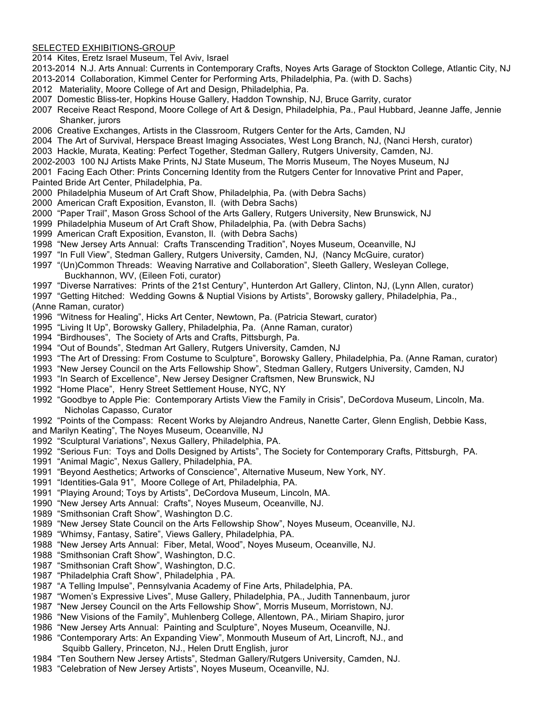#### SELECTED EXHIBITIONS-GROUP

2014 Kites, Eretz Israel Museum, Tel Aviv, Israel

- 2013-2014 N.J. Arts Annual: Currents in Contemporary Crafts, Noyes Arts Garage of Stockton College, Atlantic City, NJ
- 2013-2014 Collaboration, Kimmel Center for Performing Arts, Philadelphia, Pa. (with D. Sachs)
- 2012 Materiality, Moore College of Art and Design, Philadelphia, Pa.
- 2007 Domestic Bliss-ter, Hopkins House Gallery, Haddon Township, NJ, Bruce Garrity, curator
- 2007 Receive React Respond, Moore College of Art & Design, Philadelphia, Pa., Paul Hubbard, Jeanne Jaffe, Jennie Shanker, jurors
- 2006 Creative Exchanges, Artists in the Classroom, Rutgers Center for the Arts, Camden, NJ
- 2004 The Art of Survival, Herspace Breast Imaging Associates, West Long Branch, NJ, (Nanci Hersh, curator)
- 2003 Hackle, Murata, Keating: Perfect Together, Stedman Gallery, Rutgers University, Camden, NJ.
- 2002-2003 100 NJ Artists Make Prints, NJ State Museum, The Morris Museum, The Noyes Museum, NJ
- 2001 Facing Each Other: Prints Concerning Identity from the Rutgers Center for Innovative Print and Paper,
- Painted Bride Art Center, Philadelphia, Pa.
- 2000 Philadelphia Museum of Art Craft Show, Philadelphia, Pa. (with Debra Sachs)
- 2000 American Craft Exposition, Evanston, Il. (with Debra Sachs)
- 2000 "Paper Trail", Mason Gross School of the Arts Gallery, Rutgers University, New Brunswick, NJ
- 1999 Philadelphia Museum of Art Craft Show, Philadelphia, Pa. (with Debra Sachs)
- 1999 American Craft Exposition, Evanston, Il. (with Debra Sachs)
- 1998 "New Jersey Arts Annual: Crafts Transcending Tradition", Noyes Museum, Oceanville, NJ
- 1997 "In Full View", Stedman Gallery, Rutgers University, Camden, NJ, (Nancy McGuire, curator)
- 1997 "(Un)Common Threads: Weaving Narrative and Collaboration", Sleeth Gallery, Wesleyan College, Buckhannon, WV, (Eileen Foti, curator)
- 1997 "Diverse Narratives: Prints of the 21st Century", Hunterdon Art Gallery, Clinton, NJ, (Lynn Allen, curator)
- 1997 "Getting Hitched: Wedding Gowns & Nuptial Visions by Artists", Borowsky gallery, Philadelphia, Pa.,

(Anne Raman, curator)

- 1996 "Witness for Healing", Hicks Art Center, Newtown, Pa. (Patricia Stewart, curator)
- 1995 "Living It Up", Borowsky Gallery, Philadelphia, Pa. (Anne Raman, curator)
- 1994 "Birdhouses", The Society of Arts and Crafts, Pittsburgh, Pa.
- 1994 "Out of Bounds", Stedman Art Gallery, Rutgers University, Camden, NJ
- 1993 "The Art of Dressing: From Costume to Sculpture", Borowsky Gallery, Philadelphia, Pa. (Anne Raman, curator)
- 1993 "New Jersey Council on the Arts Fellowship Show", Stedman Gallery, Rutgers University, Camden, NJ
- 1993 "In Search of Excellence", New Jersey Designer Craftsmen, New Brunswick, NJ
- 1992 "Home Place", Henry Street Settlement House, NYC, NY
- 1992 "Goodbye to Apple Pie: Contemporary Artists View the Family in Crisis", DeCordova Museum, Lincoln, Ma. Nicholas Capasso, Curator
- 1992 "Points of the Compass: Recent Works by Alejandro Andreus, Nanette Carter, Glenn English, Debbie Kass, and Marilyn Keating", The Noyes Museum, Oceanville, NJ
- 1992 "Sculptural Variations", Nexus Gallery, Philadelphia, PA.
- 1992 "Serious Fun: Toys and Dolls Designed by Artists", The Society for Contemporary Crafts, Pittsburgh, PA.
- 1991 "Animal Magic", Nexus Gallery, Philadelphia, PA.
- 1991 "Beyond Aesthetics; Artworks of Conscience", Alternative Museum, New York, NY.
- 1991 "Identities-Gala 91", Moore College of Art, Philadelphia, PA.
- 1991 "Playing Around; Toys by Artists", DeCordova Museum, Lincoln, MA.
- 1990 "New Jersey Arts Annual: Crafts", Noyes Museum, Oceanville, NJ.
- 1989 "Smithsonian Craft Show", Washington D.C.
- 1989 "New Jersey State Council on the Arts Fellowship Show", Noyes Museum, Oceanville, NJ.
- 1989 "Whimsy, Fantasy, Satire", Views Gallery, Philadelphia, PA.
- 1988 "New Jersey Arts Annual: Fiber, Metal, Wood", Noyes Museum, Oceanville, NJ.
- 1988 "Smithsonian Craft Show", Washington, D.C.
- 1987 "Smithsonian Craft Show", Washington, D.C.
- 1987 "Philadelphia Craft Show", Philadelphia , PA.
- 1987 "A Telling Impulse", Pennsylvania Academy of Fine Arts, Philadelphia, PA.
- 1987 "Women's Expressive Lives", Muse Gallery, Philadelphia, PA., Judith Tannenbaum, juror
- 1987 "New Jersey Council on the Arts Fellowship Show", Morris Museum, Morristown, NJ.
- 1986 "New Visions of the Family", Muhlenberg College, Allentown, PA., Miriam Shapiro, juror
- 1986 "New Jersey Arts Annual: Painting and Sculpture", Noyes Museum, Oceanville, NJ.
- 1986 "Contemporary Arts: An Expanding View", Monmouth Museum of Art, Lincroft, NJ., and Squibb Gallery, Princeton, NJ., Helen Drutt English, juror
- 1984 "Ten Southern New Jersey Artists", Stedman Gallery/Rutgers University, Camden, NJ.
- 1983 "Celebration of New Jersey Artists", Noyes Museum, Oceanville, NJ.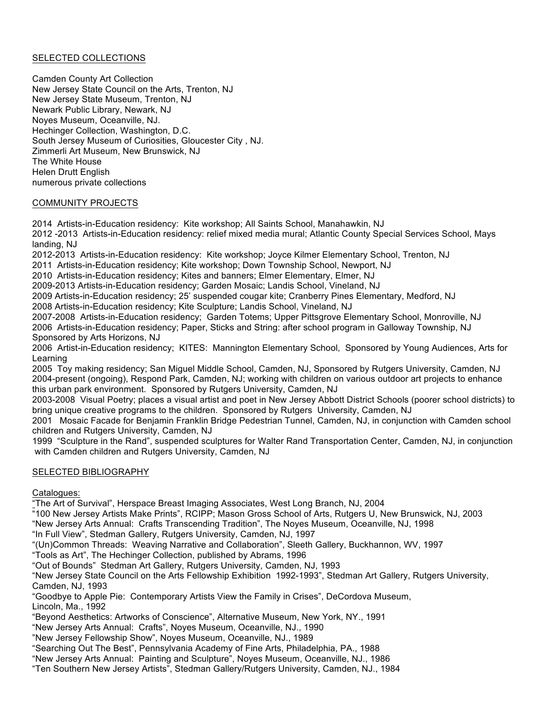## SELECTED COLLECTIONS

Camden County Art Collection New Jersey State Council on the Arts, Trenton, NJ New Jersey State Museum, Trenton, NJ Newark Public Library, Newark, NJ Noyes Museum, Oceanville, NJ. Hechinger Collection, Washington, D.C. South Jersey Museum of Curiosities, Gloucester City , NJ. Zimmerli Art Museum, New Brunswick, NJ The White House Helen Drutt English numerous private collections

## COMMUNITY PROJECTS

2014 Artists-in-Education residency: Kite workshop; All Saints School, Manahawkin, NJ

2012 -2013 Artists-in-Education residency: relief mixed media mural; Atlantic County Special Services School, Mays landing, NJ

2012-2013 Artists-in-Education residency: Kite workshop; Joyce Kilmer Elementary School, Trenton, NJ

2011 Artists-in-Education residency; Kite workshop; Down Township School, Newport, NJ

2010 Artists-in-Education residency; Kites and banners; Elmer Elementary, Elmer, NJ

2009-2013 Artists-in-Education residency; Garden Mosaic; Landis School, Vineland, NJ

2009 Artists-in-Education residency; 25' suspended cougar kite; Cranberry Pines Elementary, Medford, NJ

2008 Artists-in-Education residency; Kite Sculpture; Landis School, Vineland, NJ

2007-2008 Artists-in-Education residency; Garden Totems; Upper Pittsgrove Elementary School, Monroville, NJ 2006 Artists-in-Education residency; Paper, Sticks and String: after school program in Galloway Township, NJ Sponsored by Arts Horizons, NJ

2006 Artist-in-Education residency; KITES: Mannington Elementary School, Sponsored by Young Audiences, Arts for Learning

2005 Toy making residency; San Miguel Middle School, Camden, NJ, Sponsored by Rutgers University, Camden, NJ 2004-present (ongoing), Respond Park, Camden, NJ; working with children on various outdoor art projects to enhance this urban park environment. Sponsored by Rutgers University, Camden, NJ

2003-2008 Visual Poetry; places a visual artist and poet in New Jersey Abbott District Schools (poorer school districts) to bring unique creative programs to the children. Sponsored by Rutgers University, Camden, NJ

2001 Mosaic Facade for Benjamin Franklin Bridge Pedestrian Tunnel, Camden, NJ, in conjunction with Camden school children and Rutgers University, Camden, NJ

1999 "Sculpture in the Rand", suspended sculptures for Walter Rand Transportation Center, Camden, NJ, in conjunction with Camden children and Rutgers University, Camden, NJ

# SELECTED BIBLIOGRAPHY

Catalogues:

"The Art of Survival", Herspace Breast Imaging Associates, West Long Branch, NJ, 2004

"100 New Jersey Artists Make Prints", RCIPP; Mason Gross School of Arts, Rutgers U, New Brunswick, NJ, 2003 "New Jersey Arts Annual: Crafts Transcending Tradition", The Noyes Museum, Oceanville, NJ, 1998

"In Full View", Stedman Gallery, Rutgers University, Camden, NJ, 1997

"(Un)Common Threads: Weaving Narrative and Collaboration", Sleeth Gallery, Buckhannon, WV, 1997

"Tools as Art", The Hechinger Collection, published by Abrams, 1996

"Out of Bounds" Stedman Art Gallery, Rutgers University, Camden, NJ, 1993

"New Jersey State Council on the Arts Fellowship Exhibition 1992-1993", Stedman Art Gallery, Rutgers University, Camden, NJ, 1993

"Goodbye to Apple Pie: Contemporary Artists View the Family in Crises", DeCordova Museum, Lincoln, Ma., 1992

"Beyond Aesthetics: Artworks of Conscience", Alternative Museum, New York, NY., 1991

"New Jersey Arts Annual: Crafts", Noyes Museum, Oceanville, NJ., 1990

"New Jersey Fellowship Show", Noyes Museum, Oceanville, NJ., 1989

"Searching Out The Best", Pennsylvania Academy of Fine Arts, Philadelphia, PA., 1988

"New Jersey Arts Annual: Painting and Sculpture", Noyes Museum, Oceanville, NJ., 1986

"Ten Southern New Jersey Artists", Stedman Gallery/Rutgers University, Camden, NJ., 1984